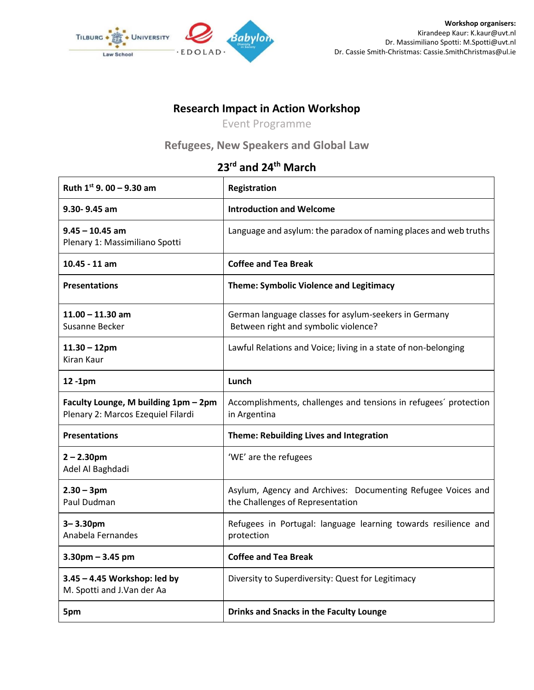

## **Research Impact in Action Workshop**

Event Programme

## **Refugees, New Speakers and Global Law**

## **23rd and 24th March**

| Ruth $1^{st}$ 9.00 - 9.30 am                                               | Registration                                                                                    |
|----------------------------------------------------------------------------|-------------------------------------------------------------------------------------------------|
| 9.30-9.45 am                                                               | <b>Introduction and Welcome</b>                                                                 |
| $9.45 - 10.45$ am<br>Plenary 1: Massimiliano Spotti                        | Language and asylum: the paradox of naming places and web truths                                |
| $10.45 - 11$ am                                                            | <b>Coffee and Tea Break</b>                                                                     |
| <b>Presentations</b>                                                       | <b>Theme: Symbolic Violence and Legitimacy</b>                                                  |
| $11.00 - 11.30$ am<br>Susanne Becker                                       | German language classes for asylum-seekers in Germany<br>Between right and symbolic violence?   |
| $11.30 - 12$ pm<br>Kiran Kaur                                              | Lawful Relations and Voice; living in a state of non-belonging                                  |
| 12-1pm                                                                     | Lunch                                                                                           |
| Faculty Lounge, M building 1pm - 2pm<br>Plenary 2: Marcos Ezequiel Filardi | Accomplishments, challenges and tensions in refugees' protection<br>in Argentina                |
| <b>Presentations</b>                                                       | Theme: Rebuilding Lives and Integration                                                         |
| $2 - 2.30$ pm<br>Adel Al Baghdadi                                          | 'WE' are the refugees                                                                           |
| $2.30 - 3pm$<br>Paul Dudman                                                | Asylum, Agency and Archives: Documenting Refugee Voices and<br>the Challenges of Representation |
| $3 - 3.30$ pm<br>Anabela Fernandes                                         | Refugees in Portugal: language learning towards resilience and<br>protection                    |
| $3.30$ pm $- 3.45$ pm                                                      | <b>Coffee and Tea Break</b>                                                                     |
| 3.45 - 4.45 Workshop: led by<br>M. Spotti and J.Van der Aa                 | Diversity to Superdiversity: Quest for Legitimacy                                               |
| 5pm                                                                        | <b>Drinks and Snacks in the Faculty Lounge</b>                                                  |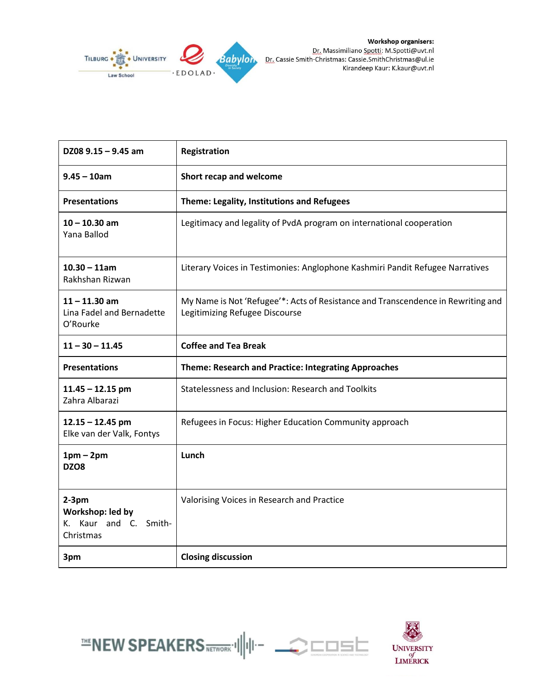

| DZ08 $9.15 - 9.45$ am                                             | Registration                                                                                                       |
|-------------------------------------------------------------------|--------------------------------------------------------------------------------------------------------------------|
| $9.45 - 10$ am                                                    | Short recap and welcome                                                                                            |
| <b>Presentations</b>                                              | Theme: Legality, Institutions and Refugees                                                                         |
| $10 - 10.30$ am<br>Yana Ballod                                    | Legitimacy and legality of PvdA program on international cooperation                                               |
| $10.30 - 11$ am<br>Rakhshan Rizwan                                | Literary Voices in Testimonies: Anglophone Kashmiri Pandit Refugee Narratives                                      |
| $11 - 11.30$ am<br>Lina Fadel and Bernadette<br>O'Rourke          | My Name is Not 'Refugee'*: Acts of Resistance and Transcendence in Rewriting and<br>Legitimizing Refugee Discourse |
| $11 - 30 - 11.45$                                                 | <b>Coffee and Tea Break</b>                                                                                        |
|                                                                   |                                                                                                                    |
| <b>Presentations</b>                                              | Theme: Research and Practice: Integrating Approaches                                                               |
| $11.45 - 12.15$ pm<br>Zahra Albarazi                              | Statelessness and Inclusion: Research and Toolkits                                                                 |
| $12.15 - 12.45$ pm<br>Elke van der Valk, Fontys                   | Refugees in Focus: Higher Education Community approach                                                             |
| $1pm-2pm$<br>DZO8                                                 | Lunch                                                                                                              |
| $2-3pm$<br>Workshop: led by<br>K. Kaur and C. Smith-<br>Christmas | Valorising Voices in Research and Practice                                                                         |





 $\equiv$